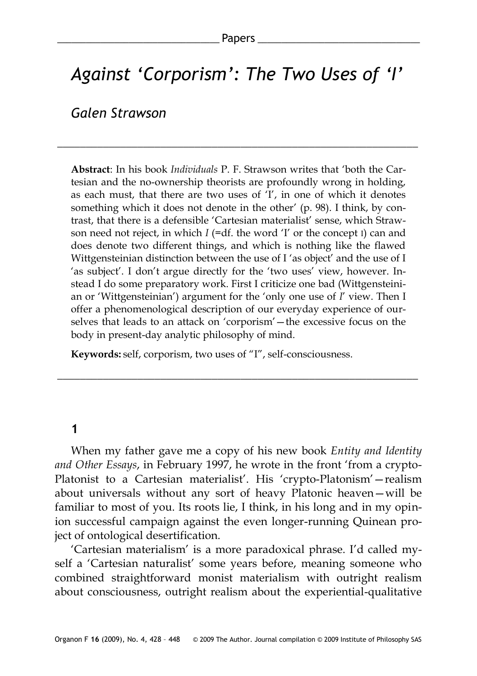# *Against 'Corporism': The Two Uses of 'I'*

\_\_\_\_\_\_\_\_\_\_\_\_\_\_\_\_\_\_\_\_\_\_\_\_\_\_\_\_\_\_\_\_\_\_\_\_\_\_\_\_\_\_\_\_\_\_\_\_\_\_\_\_\_\_\_\_\_\_\_\_\_\_\_

## *Galen Strawson*

**Abstract**: In his book *Individuals* P. F. Strawson writes that 'both the Cartesian and the no-ownership theorists are profoundly wrong in holding, as each must, that there are two uses of 'I', in one of which it denotes something which it does not denote in the other' (p. 98). I think, by contrast, that there is a defensible 'Cartesian materialist' sense, which Strawson need not reject, in which  $I$  (=df. the word  $I'$  or the concept I) can and does denote two different things, and which is nothing like the flawed Wittgensteinian distinction between the use of I 'as object' and the use of I 'as subject'. I don't argue directly for the 'two uses' view, however. Instead I do some preparatory work. First I criticize one bad (Wittgensteinian or 'Wittgensteinian') argument for the 'only one use of *I*' view. Then I offer a phenomenological description of our everyday experience of ourselves that leads to an attack on 'corporism'—the excessive focus on the body in present-day analytic philosophy of mind.

**Keywords:** self, corporism, two uses of "I", self-consciousness.

#### **1**

When my father gave me a copy of his new book *Entity and Identity and Other Essays*, in February 1997, he wrote in the front 'from a crypto-Platonist to a Cartesian materialist'. His 'crypto-Platonism'—realism about universals without any sort of heavy Platonic heaven—will be familiar to most of you. Its roots lie, I think, in his long and in my opinion successful campaign against the even longer-running Quinean project of ontological desertification.

\_\_\_\_\_\_\_\_\_\_\_\_\_\_\_\_\_\_\_\_\_\_\_\_\_\_\_\_\_\_\_\_\_\_\_\_\_\_\_\_\_\_\_\_\_\_\_\_\_\_\_\_\_\_\_\_\_\_\_\_\_\_\_

'Cartesian materialism' is a more paradoxical phrase. I'd called myself a 'Cartesian naturalist' some years before, meaning someone who combined straightforward monist materialism with outright realism about consciousness, outright realism about the experiential-qualitative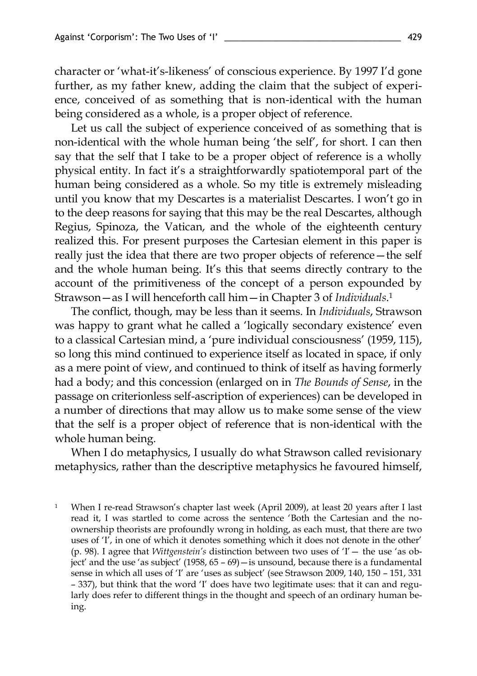character or 'what-it's-likeness' of conscious experience. By 1997 I'd gone further, as my father knew, adding the claim that the subject of experience, conceived of as something that is non-identical with the human being considered as a whole, is a proper object of reference.

Let us call the subject of experience conceived of as something that is non-identical with the whole human being 'the self', for short. I can then say that the self that I take to be a proper object of reference is a wholly physical entity. In fact it's a straightforwardly spatiotemporal part of the human being considered as a whole. So my title is extremely misleading until you know that my Descartes is a materialist Descartes. I won't go in to the deep reasons for saying that this may be the real Descartes, although Regius, Spinoza, the Vatican, and the whole of the eighteenth century realized this. For present purposes the Cartesian element in this paper is really just the idea that there are two proper objects of reference—the self and the whole human being. It's this that seems directly contrary to the account of the primitiveness of the concept of a person expounded by Strawson—as I will henceforth call him—in Chapter 3 of *Individuals*. 1

The conflict, though, may be less than it seems. In *Individuals*, Strawson was happy to grant what he called a 'logically secondary existence' even to a classical Cartesian mind, a 'pure individual consciousness' (1959, 115), so long this mind continued to experience itself as located in space, if only as a mere point of view, and continued to think of itself as having formerly had a body; and this concession (enlarged on in *The Bounds of Sense*, in the passage on criterionless self-ascription of experiences) can be developed in a number of directions that may allow us to make some sense of the view that the self is a proper object of reference that is non-identical with the whole human being.

When I do metaphysics, I usually do what Strawson called revisionary metaphysics, rather than the descriptive metaphysics he favoured himself,

<sup>1</sup> When I re-read Strawson's chapter last week (April 2009), at least 20 years after I last read it, I was startled to come across the sentence 'Both the Cartesian and the noownership theorists are profoundly wrong in holding, as each must, that there are two uses of 'I', in one of which it denotes something which it does not denote in the other' (p. 98). I agree that *Wittgenstein's* distinction between two uses of 'I'— the use 'as object' and the use 'as subject' (1958,  $65 - 69$ ) — is unsound, because there is a fundamental sense in which all uses of 'I' are 'uses as subject' (see Strawson 2009, 140, 150 – 151, 331 – 337), but think that the word 'I' does have two legitimate uses: that it can and regularly does refer to different things in the thought and speech of an ordinary human being.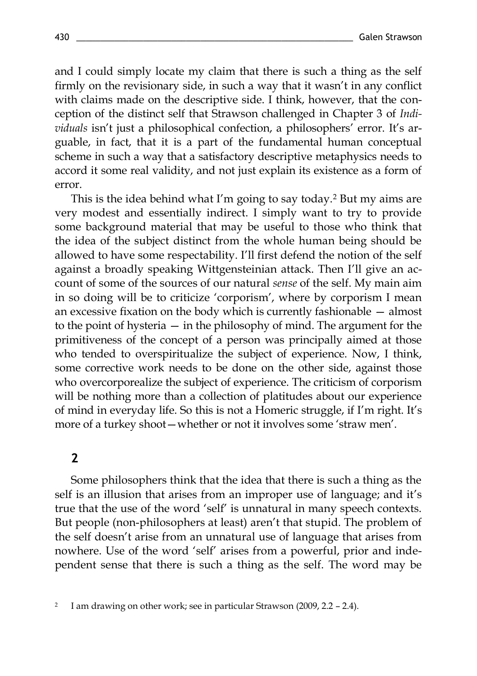and I could simply locate my claim that there is such a thing as the self firmly on the revisionary side, in such a way that it wasn't in any conflict with claims made on the descriptive side. I think, however, that the conception of the distinct self that Strawson challenged in Chapter 3 of *Individuals* isn't just a philosophical confection, a philosophers' error. It's arguable, in fact, that it is a part of the fundamental human conceptual scheme in such a way that a satisfactory descriptive metaphysics needs to accord it some real validity, and not just explain its existence as a form of error.

This is the idea behind what I'm going to say today.<sup>2</sup> But my aims are very modest and essentially indirect. I simply want to try to provide some background material that may be useful to those who think that the idea of the subject distinct from the whole human being should be allowed to have some respectability. I'll first defend the notion of the self against a broadly speaking Wittgensteinian attack. Then I'll give an account of some of the sources of our natural *sense* of the self. My main aim in so doing will be to criticize 'corporism', where by corporism I mean an excessive fixation on the body which is currently fashionable — almost to the point of hysteria — in the philosophy of mind. The argument for the primitiveness of the concept of a person was principally aimed at those who tended to overspiritualize the subject of experience. Now, I think, some corrective work needs to be done on the other side, against those who overcorporealize the subject of experience. The criticism of corporism will be nothing more than a collection of platitudes about our experience of mind in everyday life. So this is not a Homeric struggle, if I'm right. It's more of a turkey shoot—whether or not it involves some 'straw men'.

#### **2**

Some philosophers think that the idea that there is such a thing as the self is an illusion that arises from an improper use of language; and it's true that the use of the word 'self' is unnatural in many speech contexts. But people (non-philosophers at least) aren't that stupid. The problem of the self doesn't arise from an unnatural use of language that arises from nowhere. Use of the word 'self' arises from a powerful, prior and independent sense that there is such a thing as the self. The word may be

<sup>2</sup> I am drawing on other work; see in particular Strawson (2009, 2.2 – 2.4).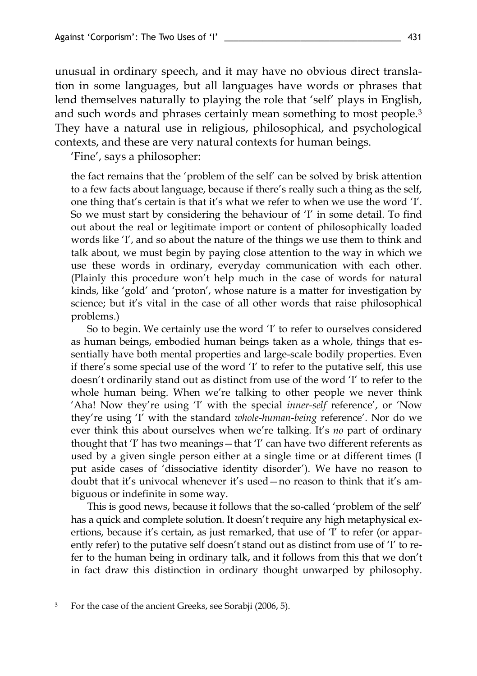unusual in ordinary speech, and it may have no obvious direct translation in some languages, but all languages have words or phrases that lend themselves naturally to playing the role that 'self' plays in English, and such words and phrases certainly mean something to most people.<sup>3</sup> They have a natural use in religious, philosophical, and psychological contexts, and these are very natural contexts for human beings.

'Fine', says a philosopher:

the fact remains that the 'problem of the self' can be solved by brisk attention to a few facts about language, because if there's really such a thing as the self, one thing that's certain is that it's what we refer to when we use the word 'I'. So we must start by considering the behaviour of 'I' in some detail. To find out about the real or legitimate import or content of philosophically loaded words like 'I', and so about the nature of the things we use them to think and talk about, we must begin by paying close attention to the way in which we use these words in ordinary, everyday communication with each other. (Plainly this procedure won't help much in the case of words for natural kinds, like 'gold' and 'proton', whose nature is a matter for investigation by science; but it's vital in the case of all other words that raise philosophical problems.)

So to begin. We certainly use the word 'I' to refer to ourselves considered as human beings, embodied human beings taken as a whole, things that essentially have both mental properties and large-scale bodily properties. Even if there's some special use of the word 'I' to refer to the putative self, this use doesn't ordinarily stand out as distinct from use of the word 'I' to refer to the whole human being. When we're talking to other people we never think 'Aha! Now they're using 'I' with the special *inner-self* reference', or 'Now they're using 'I' with the standard *whole-human-being* reference'. Nor do we ever think this about ourselves when we're talking. It's *no* part of ordinary thought that 'I' has two meanings—that 'I' can have two different referents as used by a given single person either at a single time or at different times (I put aside cases of 'dissociative identity disorder'). We have no reason to doubt that it's univocal whenever it's used—no reason to think that it's ambiguous or indefinite in some way.

This is good news, because it follows that the so-called 'problem of the self' has a quick and complete solution. It doesn't require any high metaphysical exertions, because it's certain, as just remarked, that use of 'I' to refer (or apparently refer) to the putative self doesn't stand out as distinct from use of 'I' to refer to the human being in ordinary talk, and it follows from this that we don't in fact draw this distinction in ordinary thought unwarped by philosophy.

<sup>&</sup>lt;sup>3</sup> For the case of the ancient Greeks, see Sorabji (2006, 5).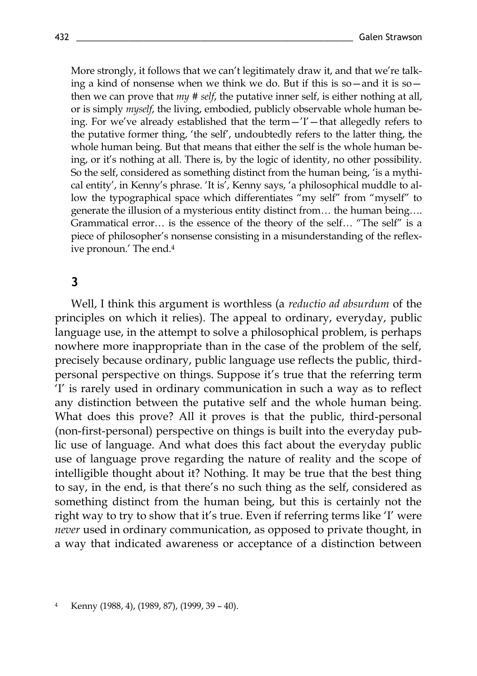More strongly, it follows that we can't legitimately draw it, and that we're talking a kind of nonsense when we think we do. But if this is so—and it is so then we can prove that *my # self*, the putative inner self, is either nothing at all, or is simply *myself*, the living, embodied, publicly observable whole human being. For we've already established that the term  $-\tilde{T}$  – that allegedly refers to the putative former thing, 'the self', undoubtedly refers to the latter thing, the whole human being. But that means that either the self is the whole human being, or it's nothing at all. There is, by the logic of identity, no other possibility. So the self, considered as something distinct from the human being, 'is a mythical entity', in Kenny's phrase. 'It is', Kenny says, 'a philosophical muddle to allow the typographical space which differentiates "my self" from "myself" to generate the illusion of a mysterious entity distinct from… the human being…. Grammatical error… is the essence of the theory of the self… "The self" is a piece of philosopher's nonsense consisting in a misunderstanding of the reflexive pronoun.' The end.<sup>4</sup>

## **3**

Well, I think this argument is worthless (a *reductio ad absurdum* of the principles on which it relies). The appeal to ordinary, everyday, public language use, in the attempt to solve a philosophical problem, is perhaps nowhere more inappropriate than in the case of the problem of the self, precisely because ordinary, public language use reflects the public, thirdpersonal perspective on things. Suppose it's true that the referring term 'I' is rarely used in ordinary communication in such a way as to reflect any distinction between the putative self and the whole human being. What does this prove? All it proves is that the public, third-personal (non-first-personal) perspective on things is built into the everyday public use of language. And what does this fact about the everyday public use of language prove regarding the nature of reality and the scope of intelligible thought about it? Nothing. It may be true that the best thing to say, in the end, is that there's no such thing as the self, considered as something distinct from the human being, but this is certainly not the right way to try to show that it's true. Even if referring terms like 'I' were *never* used in ordinary communication, as opposed to private thought, in a way that indicated awareness or acceptance of a distinction between

<sup>4</sup> Kenny (1988, 4), (1989, 87), (1999, 39 – 40).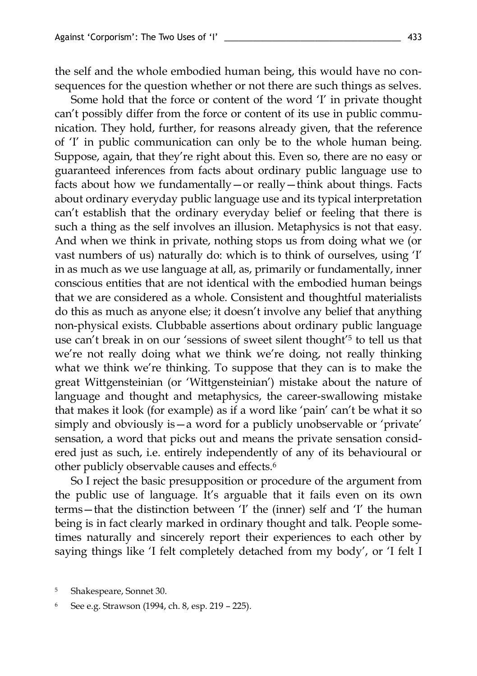the self and the whole embodied human being, this would have no consequences for the question whether or not there are such things as selves.

Some hold that the force or content of the word 'I' in private thought can't possibly differ from the force or content of its use in public communication. They hold, further, for reasons already given, that the reference of 'I' in public communication can only be to the whole human being. Suppose, again, that they're right about this. Even so, there are no easy or guaranteed inferences from facts about ordinary public language use to facts about how we fundamentally—or really—think about things. Facts about ordinary everyday public language use and its typical interpretation can't establish that the ordinary everyday belief or feeling that there is such a thing as the self involves an illusion. Metaphysics is not that easy. And when we think in private, nothing stops us from doing what we (or vast numbers of us) naturally do: which is to think of ourselves, using 'I' in as much as we use language at all, as, primarily or fundamentally, inner conscious entities that are not identical with the embodied human beings that we are considered as a whole. Consistent and thoughtful materialists do this as much as anyone else; it doesn't involve any belief that anything non-physical exists. Clubbable assertions about ordinary public language use can't break in on our 'sessions of sweet silent thought' 5 to tell us that we're not really doing what we think we're doing, not really thinking what we think we're thinking. To suppose that they can is to make the great Wittgensteinian (or 'Wittgensteinian') mistake about the nature of language and thought and metaphysics, the career-swallowing mistake that makes it look (for example) as if a word like 'pain' can't be what it so simply and obviously is—a word for a publicly unobservable or 'private' sensation, a word that picks out and means the private sensation considered just as such, i.e. entirely independently of any of its behavioural or other publicly observable causes and effects.<sup>6</sup>

So I reject the basic presupposition or procedure of the argument from the public use of language. It's arguable that it fails even on its own terms—that the distinction between 'I' the (inner) self and 'I' the human being is in fact clearly marked in ordinary thought and talk. People sometimes naturally and sincerely report their experiences to each other by saying things like 'I felt completely detached from my body', or 'I felt I

<sup>5</sup> Shakespeare, Sonnet 30.

<sup>6</sup> See e.g. Strawson (1994, ch. 8, esp. 219 – 225).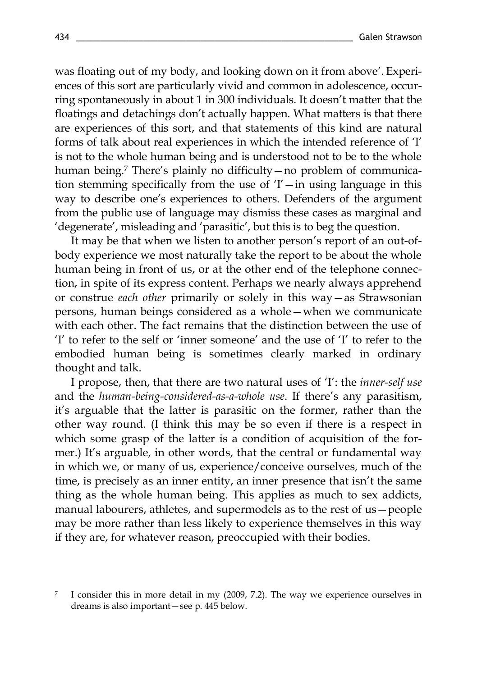was floating out of my body, and looking down on it from above'. Experiences of this sort are particularly vivid and common in adolescence, occurring spontaneously in about 1 in 300 individuals. It doesn't matter that the floatings and detachings don't actually happen. What matters is that there are experiences of this sort, and that statements of this kind are natural forms of talk about real experiences in which the intended reference of 'I' is not to the whole human being and is understood not to be to the whole human being.<sup>7</sup> There's plainly no difficulty —no problem of communication stemming specifically from the use of  $T$ —in using language in this way to describe one's experiences to others. Defenders of the argument from the public use of language may dismiss these cases as marginal and 'degenerate', misleading and 'parasitic', but this is to beg the question.

It may be that when we listen to another person's report of an out-ofbody experience we most naturally take the report to be about the whole human being in front of us, or at the other end of the telephone connection, in spite of its express content. Perhaps we nearly always apprehend or construe *each other* primarily or solely in this way—as Strawsonian persons, human beings considered as a whole—when we communicate with each other. The fact remains that the distinction between the use of 'I' to refer to the self or 'inner someone' and the use of 'I' to refer to the embodied human being is sometimes clearly marked in ordinary thought and talk.

I propose, then, that there are two natural uses of 'I': the *inner-self use* and the *human-being-considered-as-a-whole use*. If there's any parasitism, it's arguable that the latter is parasitic on the former, rather than the other way round. (I think this may be so even if there is a respect in which some grasp of the latter is a condition of acquisition of the former.) It's arguable, in other words, that the central or fundamental way in which we, or many of us, experience/conceive ourselves, much of the time, is precisely as an inner entity, an inner presence that isn't the same thing as the whole human being. This applies as much to sex addicts, manual labourers, athletes, and supermodels as to the rest of us—people may be more rather than less likely to experience themselves in this way if they are, for whatever reason, preoccupied with their bodies.

<sup>7</sup> I consider this in more detail in my (2009, 7.2). The way we experience ourselves in dreams is also important—see p. 445 below.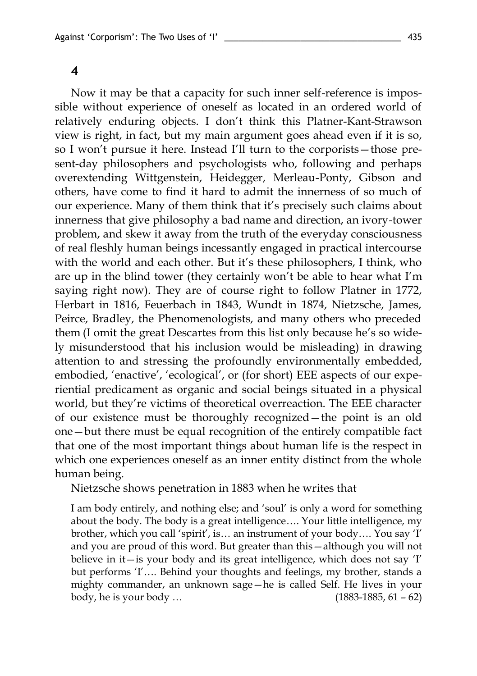#### **4**

Now it may be that a capacity for such inner self-reference is impossible without experience of oneself as located in an ordered world of relatively enduring objects. I don't think this Platner-Kant-Strawson view is right, in fact, but my main argument goes ahead even if it is so, so I won't pursue it here. Instead I'll turn to the corporists—those present-day philosophers and psychologists who, following and perhaps overextending Wittgenstein, Heidegger, Merleau-Ponty, Gibson and others, have come to find it hard to admit the innerness of so much of our experience. Many of them think that it's precisely such claims about innerness that give philosophy a bad name and direction, an ivory-tower problem, and skew it away from the truth of the everyday consciousness of real fleshly human beings incessantly engaged in practical intercourse with the world and each other. But it's these philosophers, I think, who are up in the blind tower (they certainly won't be able to hear what I'm saying right now). They are of course right to follow Platner in 1772, Herbart in 1816, Feuerbach in 1843, Wundt in 1874, Nietzsche, James, Peirce, Bradley, the Phenomenologists, and many others who preceded them (I omit the great Descartes from this list only because he's so widely misunderstood that his inclusion would be misleading) in drawing attention to and stressing the profoundly environmentally embedded, embodied, 'enactive', 'ecological', or (for short) EEE aspects of our experiential predicament as organic and social beings situated in a physical world, but they're victims of theoretical overreaction. The EEE character of our existence must be thoroughly recognized—the point is an old one—but there must be equal recognition of the entirely compatible fact that one of the most important things about human life is the respect in which one experiences oneself as an inner entity distinct from the whole human being.

Nietzsche shows penetration in 1883 when he writes that

I am body entirely, and nothing else; and 'soul' is only a word for something about the body. The body is a great intelligence…. Your little intelligence, my brother, which you call 'spirit', is… an instrument of your body…. You say 'I' and you are proud of this word. But greater than this—although you will not believe in it—is your body and its great intelligence, which does not say 'I' but performs 'I'…. Behind your thoughts and feelings, my brother, stands a mighty commander, an unknown sage—he is called Self. He lives in your body, he is your body … (1883-1885, 61 – 62)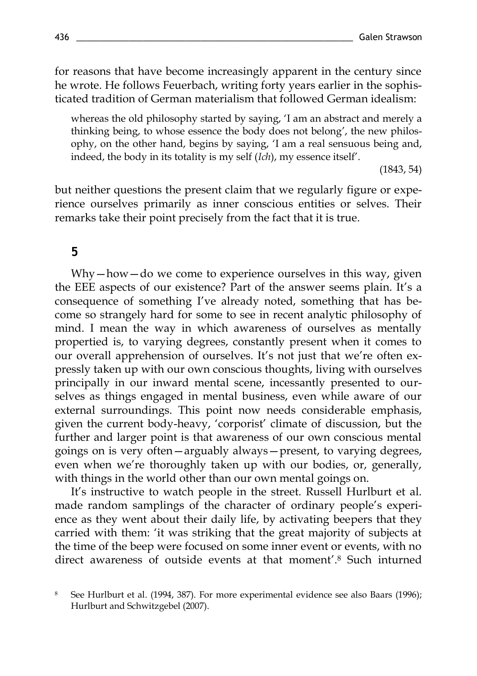for reasons that have become increasingly apparent in the century since he wrote. He follows Feuerbach, writing forty years earlier in the sophisticated tradition of German materialism that followed German idealism:

whereas the old philosophy started by saying, 'I am an abstract and merely a thinking being, to whose essence the body does not belong', the new philosophy, on the other hand, begins by saying, 'I am a real sensuous being and, indeed, the body in its totality is my self (*Ich*), my essence itself'.

(1843, 54)

but neither questions the present claim that we regularly figure or experience ourselves primarily as inner conscious entities or selves. Their remarks take their point precisely from the fact that it is true.

## **5**

Why—how—do we come to experience ourselves in this way, given the EEE aspects of our existence? Part of the answer seems plain. It's a consequence of something I've already noted, something that has become so strangely hard for some to see in recent analytic philosophy of mind. I mean the way in which awareness of ourselves as mentally propertied is, to varying degrees, constantly present when it comes to our overall apprehension of ourselves. It's not just that we're often expressly taken up with our own conscious thoughts, living with ourselves principally in our inward mental scene, incessantly presented to ourselves as things engaged in mental business, even while aware of our external surroundings. This point now needs considerable emphasis, given the current body-heavy, 'corporist' climate of discussion, but the further and larger point is that awareness of our own conscious mental goings on is very often—arguably always—present, to varying degrees, even when we're thoroughly taken up with our bodies, or, generally, with things in the world other than our own mental goings on.

It's instructive to watch people in the street. Russell Hurlburt et al. made random samplings of the character of ordinary people's experience as they went about their daily life, by activating beepers that they carried with them: 'it was striking that the great majority of subjects at the time of the beep were focused on some inner event or events, with no direct awareness of outside events at that moment'. <sup>8</sup> Such inturned

<sup>8</sup> See Hurlburt et al. (1994, 387). For more experimental evidence see also Baars (1996); Hurlburt and Schwitzgebel (2007).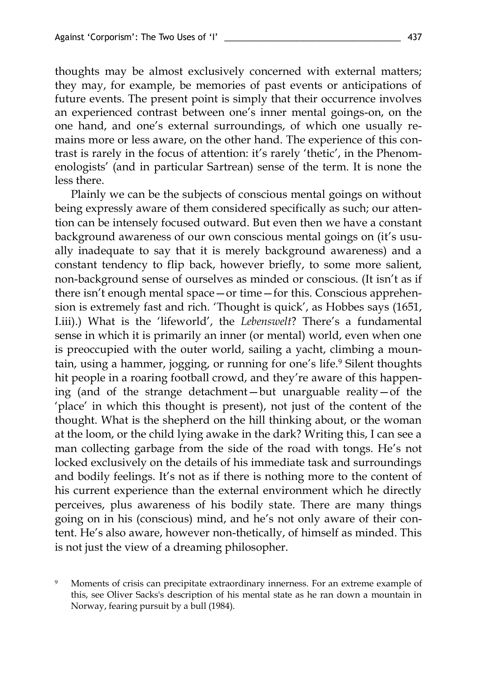thoughts may be almost exclusively concerned with external matters; they may, for example, be memories of past events or anticipations of future events. The present point is simply that their occurrence involves an experienced contrast between one's inner mental goings-on, on the one hand, and one's external surroundings, of which one usually remains more or less aware, on the other hand. The experience of this contrast is rarely in the focus of attention: it's rarely 'thetic', in the Phenomenologists' (and in particular Sartrean) sense of the term. It is none the less there.

Plainly we can be the subjects of conscious mental goings on without being expressly aware of them considered specifically as such; our attention can be intensely focused outward. But even then we have a constant background awareness of our own conscious mental goings on (it's usually inadequate to say that it is merely background awareness) and a constant tendency to flip back, however briefly, to some more salient, non-background sense of ourselves as minded or conscious. (It isn't as if there isn't enough mental space—or time—for this. Conscious apprehension is extremely fast and rich. 'Thought is quick', as Hobbes says (1651, I.iii).) What is the 'lifeworld', the *Lebenswelt*? There's a fundamental sense in which it is primarily an inner (or mental) world, even when one is preoccupied with the outer world, sailing a yacht, climbing a mountain, using a hammer, jogging, or running for one's life.<sup>9</sup> Silent thoughts hit people in a roaring football crowd, and they're aware of this happening (and of the strange detachment—but unarguable reality—of the 'place' in which this thought is present), not just of the content of the thought. What is the shepherd on the hill thinking about, or the woman at the loom, or the child lying awake in the dark? Writing this, I can see a man collecting garbage from the side of the road with tongs. He's not locked exclusively on the details of his immediate task and surroundings and bodily feelings. It's not as if there is nothing more to the content of his current experience than the external environment which he directly perceives, plus awareness of his bodily state. There are many things going on in his (conscious) mind, and he's not only aware of their content. He's also aware, however non-thetically, of himself as minded. This is not just the view of a dreaming philosopher.

Moments of crisis can precipitate extraordinary innerness. For an extreme example of this, see Oliver Sacks's description of his mental state as he ran down a mountain in Norway, fearing pursuit by a bull (1984).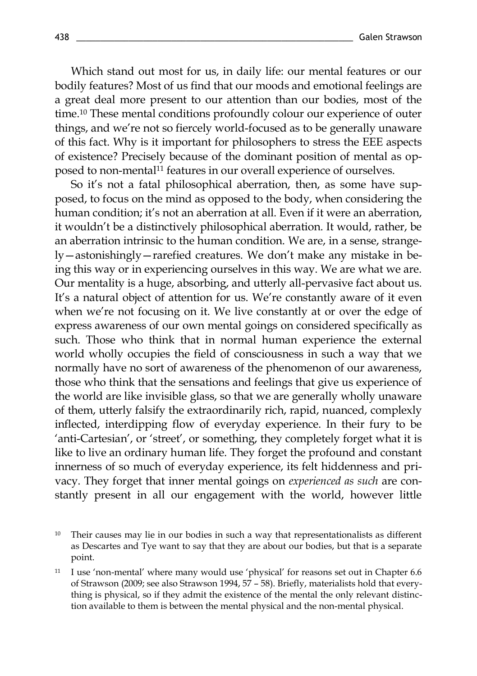Which stand out most for us, in daily life: our mental features or our bodily features? Most of us find that our moods and emotional feelings are a great deal more present to our attention than our bodies, most of the time.<sup>10</sup> These mental conditions profoundly colour our experience of outer things, and we're not so fiercely world-focused as to be generally unaware of this fact. Why is it important for philosophers to stress the EEE aspects of existence? Precisely because of the dominant position of mental as opposed to non-mental<sup>11</sup> features in our overall experience of ourselves.

So it's not a fatal philosophical aberration, then, as some have supposed, to focus on the mind as opposed to the body, when considering the human condition; it's not an aberration at all. Even if it were an aberration, it wouldn't be a distinctively philosophical aberration. It would, rather, be an aberration intrinsic to the human condition. We are, in a sense, strangely—astonishingly—rarefied creatures. We don't make any mistake in being this way or in experiencing ourselves in this way. We are what we are. Our mentality is a huge, absorbing, and utterly all-pervasive fact about us. It's a natural object of attention for us. We're constantly aware of it even when we're not focusing on it. We live constantly at or over the edge of express awareness of our own mental goings on considered specifically as such. Those who think that in normal human experience the external world wholly occupies the field of consciousness in such a way that we normally have no sort of awareness of the phenomenon of our awareness, those who think that the sensations and feelings that give us experience of the world are like invisible glass, so that we are generally wholly unaware of them, utterly falsify the extraordinarily rich, rapid, nuanced, complexly inflected, interdipping flow of everyday experience. In their fury to be 'anti-Cartesian', or 'street', or something, they completely forget what it is like to live an ordinary human life. They forget the profound and constant innerness of so much of everyday experience, its felt hiddenness and privacy. They forget that inner mental goings on *experienced as such* are constantly present in all our engagement with the world, however little

<sup>10</sup> Their causes may lie in our bodies in such a way that representationalists as different as Descartes and Tye want to say that they are about our bodies, but that is a separate point.

<sup>11</sup> I use 'non-mental' where many would use 'physical' for reasons set out in Chapter 6.6 of Strawson (2009; see also Strawson 1994, 57 – 58). Briefly, materialists hold that everything is physical, so if they admit the existence of the mental the only relevant distinction available to them is between the mental physical and the non-mental physical.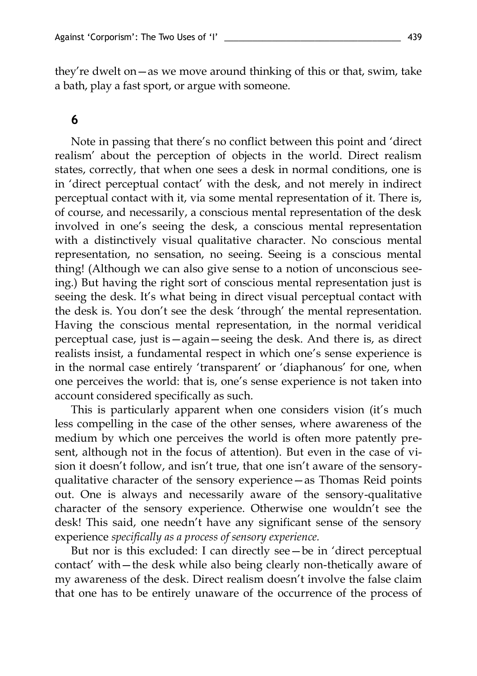they're dwelt on—as we move around thinking of this or that, swim, take a bath, play a fast sport, or argue with someone.

## **6**

Note in passing that there's no conflict between this point and 'direct realism' about the perception of objects in the world. Direct realism states, correctly, that when one sees a desk in normal conditions, one is in 'direct perceptual contact' with the desk, and not merely in indirect perceptual contact with it, via some mental representation of it. There is, of course, and necessarily, a conscious mental representation of the desk involved in one's seeing the desk, a conscious mental representation with a distinctively visual qualitative character. No conscious mental representation, no sensation, no seeing. Seeing is a conscious mental thing! (Although we can also give sense to a notion of unconscious seeing.) But having the right sort of conscious mental representation just is seeing the desk. It's what being in direct visual perceptual contact with the desk is. You don't see the desk 'through' the mental representation. Having the conscious mental representation, in the normal veridical perceptual case, just is—again—seeing the desk. And there is, as direct realists insist, a fundamental respect in which one's sense experience is in the normal case entirely 'transparent' or 'diaphanous' for one, when one perceives the world: that is, one's sense experience is not taken into account considered specifically as such.

This is particularly apparent when one considers vision (it's much less compelling in the case of the other senses, where awareness of the medium by which one perceives the world is often more patently present, although not in the focus of attention). But even in the case of vision it doesn't follow, and isn't true, that one isn't aware of the sensoryqualitative character of the sensory experience—as Thomas Reid points out. One is always and necessarily aware of the sensory-qualitative character of the sensory experience. Otherwise one wouldn't see the desk! This said, one needn't have any significant sense of the sensory experience *specifically as a process of sensory experience.*

But nor is this excluded: I can directly see—be in 'direct perceptual contact' with—the desk while also being clearly non-thetically aware of my awareness of the desk. Direct realism doesn't involve the false claim that one has to be entirely unaware of the occurrence of the process of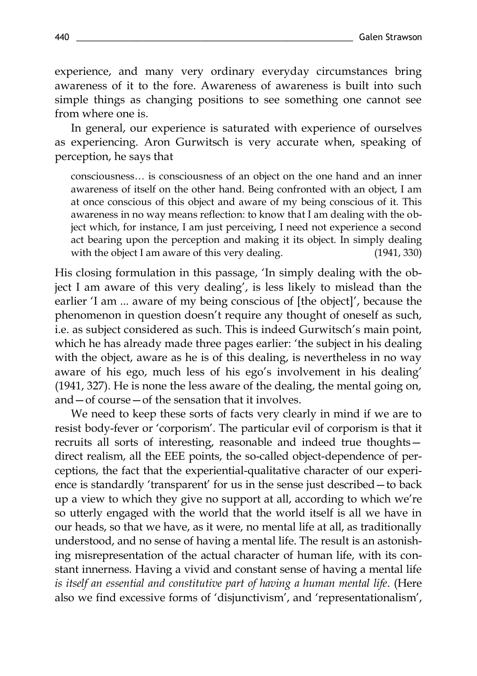experience, and many very ordinary everyday circumstances bring awareness of it to the fore. Awareness of awareness is built into such simple things as changing positions to see something one cannot see from where one is.

In general, our experience is saturated with experience of ourselves as experiencing. Aron Gurwitsch is very accurate when, speaking of perception, he says that

consciousness… is consciousness of an object on the one hand and an inner awareness of itself on the other hand. Being confronted with an object, I am at once conscious of this object and aware of my being conscious of it. This awareness in no way means reflection: to know that I am dealing with the object which, for instance, I am just perceiving, I need not experience a second act bearing upon the perception and making it its object. In simply dealing with the object I am aware of this very dealing. (1941, 330)

His closing formulation in this passage, 'In simply dealing with the object I am aware of this very dealing', is less likely to mislead than the earlier 'I am ... aware of my being conscious of [the object]', because the phenomenon in question doesn't require any thought of oneself as such, i.e. as subject considered as such. This is indeed Gurwitsch's main point, which he has already made three pages earlier: 'the subject in his dealing with the object, aware as he is of this dealing, is nevertheless in no way aware of his ego, much less of his ego's involvement in his dealing' (1941, 327). He is none the less aware of the dealing, the mental going on, and—of course—of the sensation that it involves.

We need to keep these sorts of facts very clearly in mind if we are to resist body-fever or 'corporism'. The particular evil of corporism is that it recruits all sorts of interesting, reasonable and indeed true thoughts direct realism, all the EEE points, the so-called object-dependence of perceptions, the fact that the experiential-qualitative character of our experience is standardly 'transparent' for us in the sense just described—to back up a view to which they give no support at all, according to which we're so utterly engaged with the world that the world itself is all we have in our heads, so that we have, as it were, no mental life at all, as traditionally understood, and no sense of having a mental life. The result is an astonishing misrepresentation of the actual character of human life, with its constant innerness. Having a vivid and constant sense of having a mental life *is itself an essential and constitutive part of having a human mental life*. (Here also we find excessive forms of 'disjunctivism', and 'representationalism',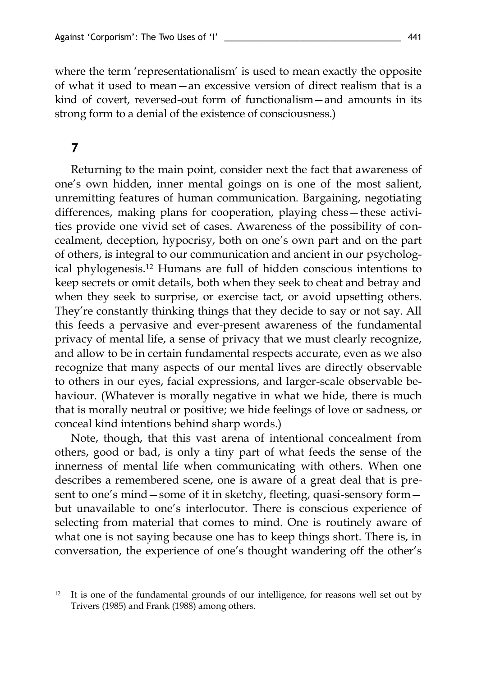where the term 'representationalism' is used to mean exactly the opposite of what it used to mean—an excessive version of direct realism that is a kind of covert, reversed-out form of functionalism—and amounts in its strong form to a denial of the existence of consciousness.)

## **7**

Returning to the main point, consider next the fact that awareness of one's own hidden, inner mental goings on is one of the most salient, unremitting features of human communication. Bargaining, negotiating differences, making plans for cooperation, playing chess—these activities provide one vivid set of cases. Awareness of the possibility of concealment, deception, hypocrisy, both on one's own part and on the part of others, is integral to our communication and ancient in our psychological phylogenesis.<sup>12</sup> Humans are full of hidden conscious intentions to keep secrets or omit details, both when they seek to cheat and betray and when they seek to surprise, or exercise tact, or avoid upsetting others. They're constantly thinking things that they decide to say or not say. All this feeds a pervasive and ever-present awareness of the fundamental privacy of mental life, a sense of privacy that we must clearly recognize, and allow to be in certain fundamental respects accurate, even as we also recognize that many aspects of our mental lives are directly observable to others in our eyes, facial expressions, and larger-scale observable behaviour. (Whatever is morally negative in what we hide, there is much that is morally neutral or positive; we hide feelings of love or sadness, or conceal kind intentions behind sharp words.)

Note, though, that this vast arena of intentional concealment from others, good or bad, is only a tiny part of what feeds the sense of the innerness of mental life when communicating with others. When one describes a remembered scene, one is aware of a great deal that is present to one's mind—some of it in sketchy, fleeting, quasi-sensory form but unavailable to one's interlocutor. There is conscious experience of selecting from material that comes to mind. One is routinely aware of what one is not saying because one has to keep things short. There is, in conversation, the experience of one's thought wandering off the other's

<sup>&</sup>lt;sup>12</sup> It is one of the fundamental grounds of our intelligence, for reasons well set out by Trivers (1985) and Frank (1988) among others.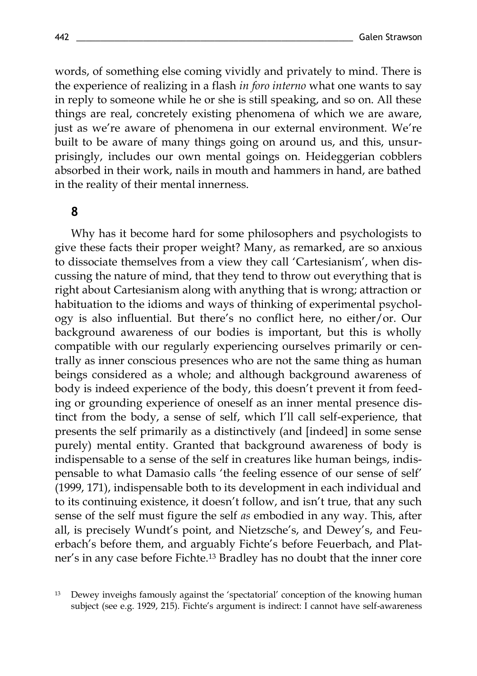words, of something else coming vividly and privately to mind. There is the experience of realizing in a flash *in foro interno* what one wants to say in reply to someone while he or she is still speaking, and so on. All these things are real, concretely existing phenomena of which we are aware, just as we're aware of phenomena in our external environment. We're built to be aware of many things going on around us, and this, unsurprisingly, includes our own mental goings on. Heideggerian cobblers absorbed in their work, nails in mouth and hammers in hand, are bathed in the reality of their mental innerness.

#### **8**

Why has it become hard for some philosophers and psychologists to give these facts their proper weight? Many, as remarked, are so anxious to dissociate themselves from a view they call 'Cartesianism', when discussing the nature of mind, that they tend to throw out everything that is right about Cartesianism along with anything that is wrong; attraction or habituation to the idioms and ways of thinking of experimental psychology is also influential. But there's no conflict here, no either/or. Our background awareness of our bodies is important, but this is wholly compatible with our regularly experiencing ourselves primarily or centrally as inner conscious presences who are not the same thing as human beings considered as a whole; and although background awareness of body is indeed experience of the body, this doesn't prevent it from feeding or grounding experience of oneself as an inner mental presence distinct from the body, a sense of self, which I'll call self-experience, that presents the self primarily as a distinctively (and [indeed] in some sense purely) mental entity. Granted that background awareness of body is indispensable to a sense of the self in creatures like human beings, indispensable to what Damasio calls 'the feeling essence of our sense of self' (1999, 171), indispensable both to its development in each individual and to its continuing existence, it doesn't follow, and isn't true, that any such sense of the self must figure the self *as* embodied in any way. This, after all, is precisely Wundt's point, and Nietzsche's, and Dewey's, and Feuerbach's before them, and arguably Fichte's before Feuerbach, and Platner's in any case before Fichte.<sup>13</sup> Bradley has no doubt that the inner core

<sup>13</sup> Dewey inveighs famously against the 'spectatorial' conception of the knowing human subject (see e.g. 1929, 215). Fichte's argument is indirect: I cannot have self-awareness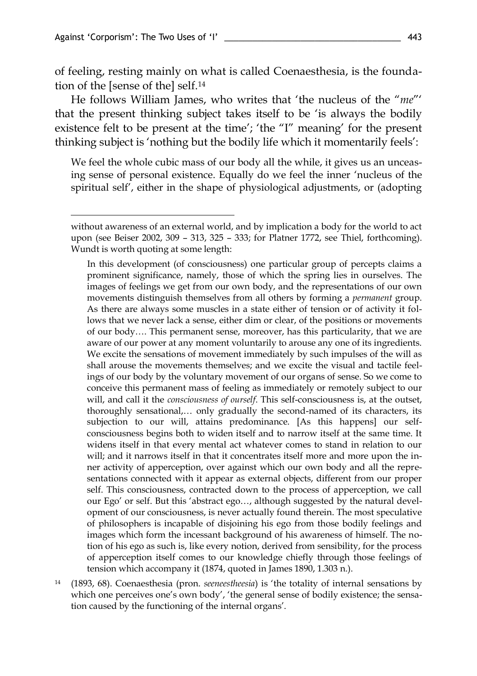$\overline{a}$ 

of feeling, resting mainly on what is called Coenaesthesia, is the foundation of the [sense of the] self.<sup>14</sup>

He follows William James, who writes that 'the nucleus of the "*me*"' that the present thinking subject takes itself to be 'is always the bodily existence felt to be present at the time'; 'the "I" meaning' for the present thinking subject is 'nothing but the bodily life which it momentarily feels':

We feel the whole cubic mass of our body all the while, it gives us an unceasing sense of personal existence. Equally do we feel the inner 'nucleus of the spiritual self', either in the shape of physiological adjustments, or (adopting

In this development (of consciousness) one particular group of percepts claims a prominent significance, namely, those of which the spring lies in ourselves. The images of feelings we get from our own body, and the representations of our own movements distinguish themselves from all others by forming a *permanent* group. As there are always some muscles in a state either of tension or of activity it follows that we never lack a sense, either dim or clear, of the positions or movements of our body…. This permanent sense, moreover, has this particularity, that we are aware of our power at any moment voluntarily to arouse any one of its ingredients. We excite the sensations of movement immediately by such impulses of the will as shall arouse the movements themselves; and we excite the visual and tactile feelings of our body by the voluntary movement of our organs of sense. So we come to conceive this permanent mass of feeling as immediately or remotely subject to our will, and call it the *consciousness of ourself*. This self-consciousness is, at the outset, thoroughly sensational,… only gradually the second-named of its characters, its subjection to our will, attains predominance. [As this happens] our selfconsciousness begins both to widen itself and to narrow itself at the same time. It widens itself in that every mental act whatever comes to stand in relation to our will; and it narrows itself in that it concentrates itself more and more upon the inner activity of apperception, over against which our own body and all the representations connected with it appear as external objects, different from our proper self. This consciousness, contracted down to the process of apperception, we call our Ego' or self. But this 'abstract ego…, although suggested by the natural development of our consciousness, is never actually found therein. The most speculative of philosophers is incapable of disjoining his ego from those bodily feelings and images which form the incessant background of his awareness of himself. The notion of his ego as such is, like every notion, derived from sensibility, for the process of apperception itself comes to our knowledge chiefly through those feelings of tension which accompany it (1874, quoted in James 1890, 1.303 n.).

<sup>14</sup> (1893, 68). Coenaesthesia (pron. *seeneestheesia*) is 'the totality of internal sensations by which one perceives one's own body', 'the [general](http://www.biology-online.org/dictionary/General) [sense](http://www.biology-online.org/dictionary/Sense) o[f bodily](http://www.biology-online.org/dictionary/Bodily) existence; th[e sensa](http://www.biology-online.org/dictionary/Sensation)[tion](http://www.biology-online.org/dictionary/Sensation) caused by the functioning of th[e internal](http://www.biology-online.org/dictionary/Internal) [organs](http://www.biology-online.org/dictionary/Organs)'.

without awareness of an external world, and by implication a body for the world to act upon (see Beiser 2002, 309 – 313, 325 – 333; for Platner 1772, see Thiel, forthcoming). Wundt is worth quoting at some length: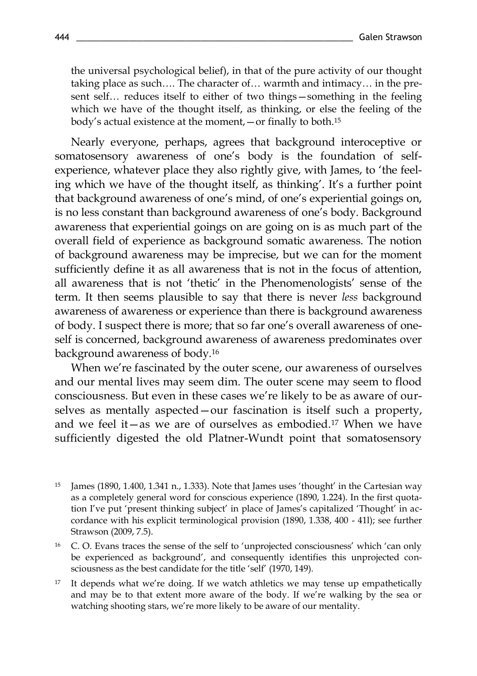the universal psychological belief), in that of the pure activity of our thought taking place as such…. The character of… warmth and intimacy… in the present self… reduces itself to either of two things—something in the feeling which we have of the thought itself, as thinking, or else the feeling of the body's actual existence at the moment,—or finally to both.<sup>15</sup>

Nearly everyone, perhaps, agrees that background interoceptive or somatosensory awareness of one's body is the foundation of selfexperience, whatever place they also rightly give, with James, to 'the feeling which we have of the thought itself, as thinking'. It's a further point that background awareness of one's mind, of one's experiential goings on, is no less constant than background awareness of one's body. Background awareness that experiential goings on are going on is as much part of the overall field of experience as background somatic awareness. The notion of background awareness may be imprecise, but we can for the moment sufficiently define it as all awareness that is not in the focus of attention, all awareness that is not 'thetic' in the Phenomenologists' sense of the term. It then seems plausible to say that there is never *less* background awareness of awareness or experience than there is background awareness of body. I suspect there is more; that so far one's overall awareness of oneself is concerned, background awareness of awareness predominates over background awareness of body.<sup>16</sup>

When we're fascinated by the outer scene, our awareness of ourselves and our mental lives may seem dim. The outer scene may seem to flood consciousness. But even in these cases we're likely to be as aware of ourselves as mentally aspected—our fascination is itself such a property, and we feel it—as we are of ourselves as embodied.<sup>17</sup> When we have sufficiently digested the old Platner-Wundt point that somatosensory

 $17$  It depends what we're doing. If we watch athletics we may tense up empathetically and may be to that extent more aware of the body. If we're walking by the sea or watching shooting stars, we're more likely to be aware of our mentality.

<sup>15</sup> James (1890, 1.400, 1.341 n., 1.333). Note that James uses 'thought' in the Cartesian way as a completely general word for conscious experience (1890, 1.224). In the first quotation I've put 'present thinking subject' in place of James's capitalized 'Thought' in accordance with his explicit terminological provision (1890, 1.338, 400 - 41l); see further Strawson (2009, 7.5).

<sup>16</sup> C. O. Evans traces the sense of the self to 'unprojected consciousness' which 'can only be experienced as background', and consequently identifies this unprojected consciousness as the best candidate for the title 'self' (1970, 149).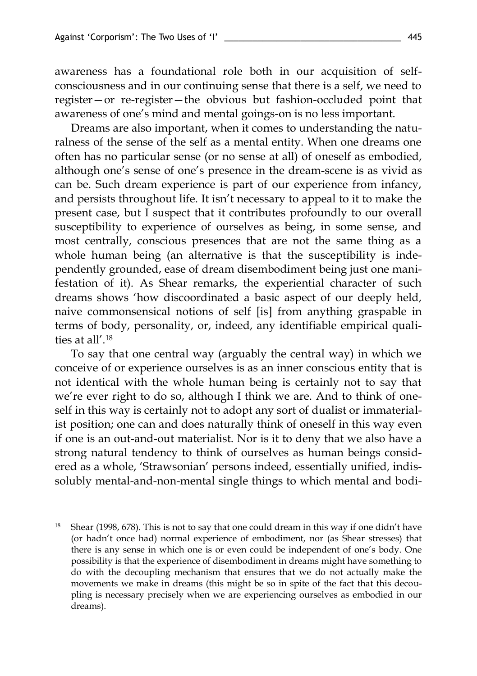awareness has a foundational role both in our acquisition of selfconsciousness and in our continuing sense that there is a self, we need to register—or re-register—the obvious but fashion-occluded point that awareness of one's mind and mental goings-on is no less important.

Dreams are also important, when it comes to understanding the naturalness of the sense of the self as a mental entity. When one dreams one often has no particular sense (or no sense at all) of oneself as embodied, although one's sense of one's presence in the dream-scene is as vivid as can be. Such dream experience is part of our experience from infancy, and persists throughout life. It isn't necessary to appeal to it to make the present case, but I suspect that it contributes profoundly to our overall susceptibility to experience of ourselves as being, in some sense, and most centrally, conscious presences that are not the same thing as a whole human being (an alternative is that the susceptibility is independently grounded, ease of dream disembodiment being just one manifestation of it). As Shear remarks, the experiential character of such dreams shows 'how discoordinated a basic aspect of our deeply held, naive commonsensical notions of self [is] from anything graspable in terms of body, personality, or, indeed, any identifiable empirical qualities at all'. 18

To say that one central way (arguably the central way) in which we conceive of or experience ourselves is as an inner conscious entity that is not identical with the whole human being is certainly not to say that we're ever right to do so, although I think we are. And to think of oneself in this way is certainly not to adopt any sort of dualist or immaterialist position; one can and does naturally think of oneself in this way even if one is an out-and-out materialist. Nor is it to deny that we also have a strong natural tendency to think of ourselves as human beings considered as a whole, 'Strawsonian' persons indeed, essentially unified, indissolubly mental-and-non-mental single things to which mental and bodi-

<sup>18</sup> Shear (1998, 678). This is not to say that one could dream in this way if one didn't have (or hadn't once had) normal experience of embodiment, nor (as Shear stresses) that there is any sense in which one is or even could be independent of one's body. One possibility is that the experience of disembodiment in dreams might have something to do with the decoupling mechanism that ensures that we do not actually make the movements we make in dreams (this might be so in spite of the fact that this decoupling is necessary precisely when we are experiencing ourselves as embodied in our dreams).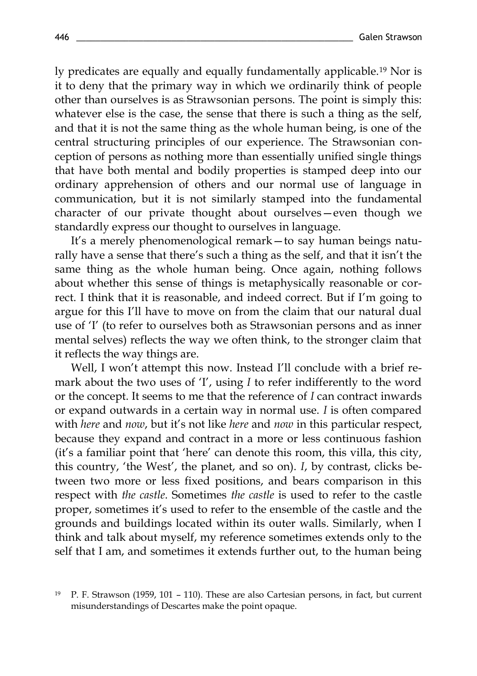ly predicates are equally and equally fundamentally applicable.<sup>19</sup> Nor is it to deny that the primary way in which we ordinarily think of people other than ourselves is as Strawsonian persons. The point is simply this: whatever else is the case, the sense that there is such a thing as the self, and that it is not the same thing as the whole human being, is one of the central structuring principles of our experience. The Strawsonian conception of persons as nothing more than essentially unified single things that have both mental and bodily properties is stamped deep into our ordinary apprehension of others and our normal use of language in communication, but it is not similarly stamped into the fundamental character of our private thought about ourselves—even though we standardly express our thought to ourselves in language.

It's a merely phenomenological remark—to say human beings naturally have a sense that there's such a thing as the self, and that it isn't the same thing as the whole human being. Once again, nothing follows about whether this sense of things is metaphysically reasonable or correct. I think that it is reasonable, and indeed correct. But if I'm going to argue for this I'll have to move on from the claim that our natural dual use of 'I' (to refer to ourselves both as Strawsonian persons and as inner mental selves) reflects the way we often think, to the stronger claim that it reflects the way things are.

Well, I won't attempt this now. Instead I'll conclude with a brief remark about the two uses of 'I', using *I* to refer indifferently to the word or the concept. It seems to me that the reference of *I* can contract inwards or expand outwards in a certain way in normal use. *I* is often compared with *here* and *now*, but it's not like *here* and *now* in this particular respect, because they expand and contract in a more or less continuous fashion (it's a familiar point that 'here' can denote this room, this villa, this city, this country, 'the West', the planet, and so on). *I*, by contrast, clicks between two more or less fixed positions, and bears comparison in this respect with *the castle*. Sometimes *the castle* is used to refer to the castle proper, sometimes it's used to refer to the ensemble of the castle and the grounds and buildings located within its outer walls. Similarly, when I think and talk about myself, my reference sometimes extends only to the self that I am, and sometimes it extends further out, to the human being

<sup>19</sup> P. F. Strawson (1959, 101 – 110). These are also Cartesian persons, in fact, but current misunderstandings of Descartes make the point opaque.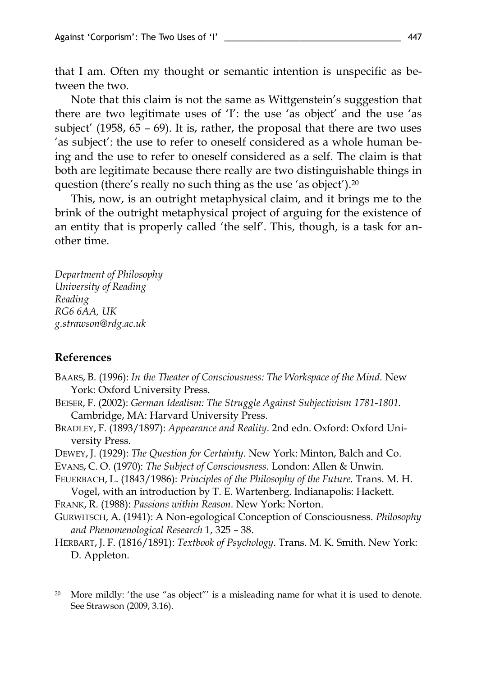that I am. Often my thought or semantic intention is unspecific as between the two.

Note that this claim is not the same as Wittgenstein's suggestion that there are two legitimate uses of 'I': the use 'as object' and the use 'as subject' (1958, 65 – 69). It is, rather, the proposal that there are two uses 'as subject': the use to refer to oneself considered as a whole human being and the use to refer to oneself considered as a self. The claim is that both are legitimate because there really are two distinguishable things in question (there's really no such thing as the use 'as object').<sup>20</sup>

This, now, is an outright metaphysical claim, and it brings me to the brink of the outright metaphysical project of arguing for the existence of an entity that is properly called 'the self'. This, though, is a task for another time.

*Department of Philosophy University of Reading Reading RG6 6AA, UK g.strawson@rdg.ac.uk*

#### **References**

- BAARS, B. (1996): *In the Theater of Consciousness: The Workspace of the Mind.* New York: Oxford University Press.
- BEISER, F. (2002): *German Idealism: The Struggle Against Subjectivism 1781-1801.* Cambridge, MA: Harvard University Press.
- BRADLEY, F. (1893/1897): *Appearance and Reality*. 2nd edn. Oxford: Oxford University Press.
- DEWEY, J. (1929): *The Question for Certainty*. New York: Minton, Balch and Co.
- EVANS, C. O. (1970): *The Subject of Consciousness*. London: Allen & Unwin.
- FEUERBACH, L. (1843/1986): *Principles of the Philosophy of the Future.* Trans. M. H. Vogel, with an introduction by T. E. Wartenberg. Indianapolis: Hackett.

FRANK, R. (1988): *Passions within Reason.* New York: Norton.

GURWITSCH, A. (1941): A Non-egological Conception of Consciousness. *Philosophy and Phenomenological Research* 1, 325 – 38.

- HERBART, J. F. (1816/1891): *Textbook of Psychology*. Trans. M. K. Smith. New York: D. Appleton.
- <sup>20</sup> More mildly: 'the use "as object"' is a misleading name for what it is used to denote. See Strawson (2009, 3.16).